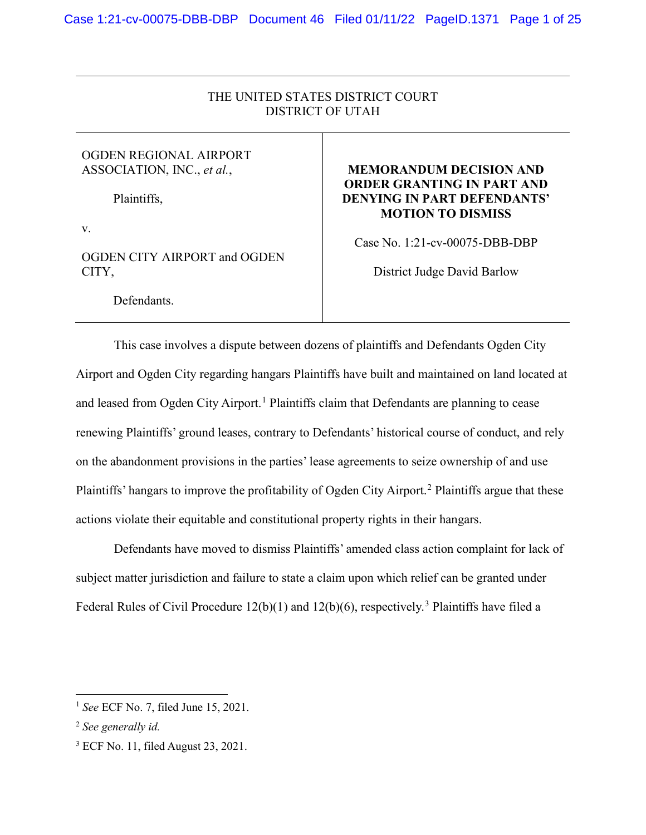# THE UNITED STATES DISTRICT COURT DISTRICT OF UTAH

## OGDEN REGIONAL AIRPORT ASSOCIATION, INC., *et al.*,

Plaintiffs,

v.

# OGDEN CITY AIRPORT and OGDEN CITY,

Defendants.

# **MEMORANDUM DECISION AND ORDER GRANTING IN PART AND DENYING IN PART DEFENDANTS' MOTION TO DISMISS**

Case No. 1:21-cv-00075-DBB-DBP

District Judge David Barlow

This case involves a dispute between dozens of plaintiffs and Defendants Ogden City Airport and Ogden City regarding hangars Plaintiffs have built and maintained on land located at and leased from Ogden City Airport.<sup>[1](#page-0-0)</sup> Plaintiffs claim that Defendants are planning to cease renewing Plaintiffs' ground leases, contrary to Defendants' historical course of conduct, and rely on the abandonment provisions in the parties' lease agreements to seize ownership of and use Plaintiffs' hangars to improve the profitability of Ogden City Airport.<sup>[2](#page-0-1)</sup> Plaintiffs argue that these actions violate their equitable and constitutional property rights in their hangars.

Defendants have moved to dismiss Plaintiffs' amended class action complaint for lack of subject matter jurisdiction and failure to state a claim upon which relief can be granted under Federal Rules of Civil Procedure 12(b)(1) and 12(b)(6), respectively.<sup>[3](#page-0-2)</sup> Plaintiffs have filed a

<span id="page-0-0"></span><sup>1</sup> *See* ECF No. 7, filed June 15, 2021.

<span id="page-0-1"></span><sup>2</sup> *See generally id.*

<span id="page-0-2"></span> $3$  ECF No. 11, filed August 23, 2021.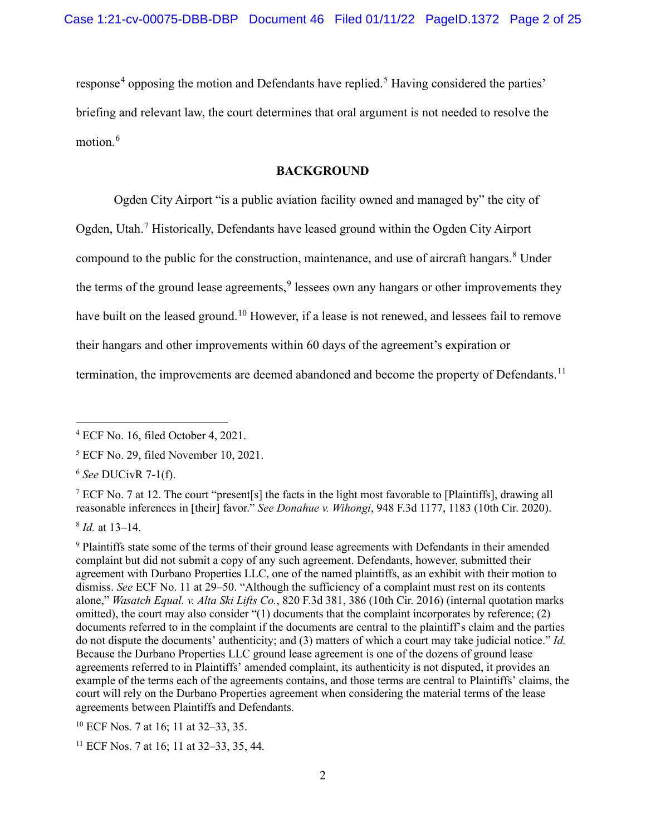response<sup>[4](#page-1-0)</sup> opposing the motion and Defendants have replied.<sup>[5](#page-1-1)</sup> Having considered the parties' briefing and relevant law, the court determines that oral argument is not needed to resolve the motion.<sup>[6](#page-1-2)</sup>

### **BACKGROUND**

Ogden City Airport "is a public aviation facility owned and managed by" the city of Ogden, Utah.<sup>[7](#page-1-3)</sup> Historically, Defendants have leased ground within the Ogden City Airport compound to the public for the construction, maintenance, and use of aircraft hangars.<sup>[8](#page-1-4)</sup> Under the terms of the ground lease agreements,<sup>[9](#page-1-5)</sup> lessees own any hangars or other improvements they have built on the leased ground.<sup>[10](#page-1-6)</sup> However, if a lease is not renewed, and lessees fail to remove their hangars and other improvements within 60 days of the agreement's expiration or

termination, the improvements are deemed abandoned and become the property of Defendants.<sup>[11](#page-1-7)</sup>

<span id="page-1-3"></span><sup>7</sup> ECF No. 7 at 12. The court "present[s] the facts in the light most favorable to [Plaintiffs], drawing all reasonable inferences in [their] favor." *See Donahue v. Wihongi*, 948 F.3d 1177, 1183 (10th Cir. 2020).

<span id="page-1-4"></span><sup>8</sup> *Id.* at 13–14.

<span id="page-1-6"></span><sup>10</sup> ECF Nos. 7 at 16; 11 at 32–33, 35.

<span id="page-1-7"></span><sup>11</sup> ECF Nos. 7 at 16; 11 at 32–33, 35, 44.

<span id="page-1-0"></span><sup>4</sup> ECF No. 16, filed October 4, 2021.

<span id="page-1-1"></span><sup>5</sup> ECF No. 29, filed November 10, 2021.

<span id="page-1-2"></span><sup>6</sup> *See* DUCivR 7-1(f).

<span id="page-1-5"></span><sup>&</sup>lt;sup>9</sup> Plaintiffs state some of the terms of their ground lease agreements with Defendants in their amended complaint but did not submit a copy of any such agreement. Defendants, however, submitted their agreement with Durbano Properties LLC, one of the named plaintiffs, as an exhibit with their motion to dismiss. *See* ECF No. 11 at 29–50. "Although the sufficiency of a complaint must rest on its contents alone," *Wasatch Equal. v. Alta Ski Lifts Co.*, 820 F.3d 381, 386 (10th Cir. 2016) (internal quotation marks omitted), the court may also consider "(1) documents that the complaint incorporates by reference; (2) documents referred to in the complaint if the documents are central to the plaintiff's claim and the parties do not dispute the documents' authenticity; and (3) matters of which a court may take judicial notice." *Id.* Because the Durbano Properties LLC ground lease agreement is one of the dozens of ground lease agreements referred to in Plaintiffs' amended complaint, its authenticity is not disputed, it provides an example of the terms each of the agreements contains, and those terms are central to Plaintiffs' claims, the court will rely on the Durbano Properties agreement when considering the material terms of the lease agreements between Plaintiffs and Defendants.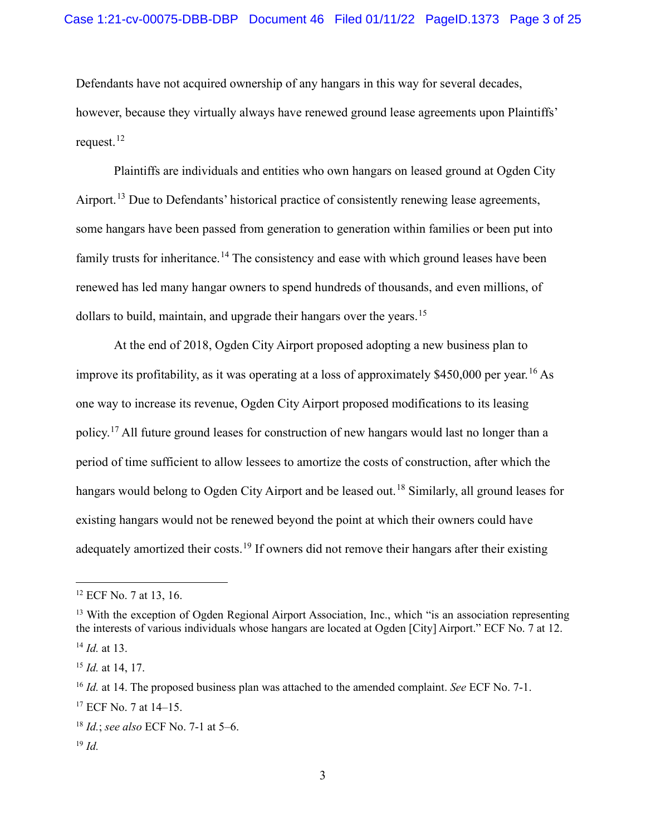Defendants have not acquired ownership of any hangars in this way for several decades, however, because they virtually always have renewed ground lease agreements upon Plaintiffs' request.<sup>[12](#page-2-0)</sup>

Plaintiffs are individuals and entities who own hangars on leased ground at Ogden City Airport.<sup>[13](#page-2-1)</sup> Due to Defendants' historical practice of consistently renewing lease agreements, some hangars have been passed from generation to generation within families or been put into family trusts for inheritance.<sup>[14](#page-2-2)</sup> The consistency and ease with which ground leases have been renewed has led many hangar owners to spend hundreds of thousands, and even millions, of dollars to build, maintain, and upgrade their hangars over the years.<sup>[15](#page-2-3)</sup>

At the end of 2018, Ogden City Airport proposed adopting a new business plan to improve its profitability, as it was operating at a loss of approximately  $$450,000$  per year.<sup>[16](#page-2-4)</sup> As one way to increase its revenue, Ogden City Airport proposed modifications to its leasing policy.<sup>[17](#page-2-5)</sup> All future ground leases for construction of new hangars would last no longer than a period of time sufficient to allow lessees to amortize the costs of construction, after which the hangars would belong to Ogden City Airport and be leased out. [18](#page-2-6) Similarly, all ground leases for existing hangars would not be renewed beyond the point at which their owners could have adequately amortized their costs.<sup>[19](#page-2-7)</sup> If owners did not remove their hangars after their existing

<span id="page-2-7"></span><sup>19</sup> *Id.*

<span id="page-2-0"></span><sup>&</sup>lt;sup>12</sup> ECF No. 7 at 13, 16.

<span id="page-2-1"></span><sup>&</sup>lt;sup>13</sup> With the exception of Ogden Regional Airport Association, Inc., which "is an association representing the interests of various individuals whose hangars are located at Ogden [City] Airport." ECF No. 7 at 12.

<span id="page-2-2"></span><sup>14</sup> *Id.* at 13.

<span id="page-2-3"></span><sup>15</sup> *Id.* at 14, 17.

<span id="page-2-4"></span><sup>16</sup> *Id.* at 14. The proposed business plan was attached to the amended complaint. *See* ECF No. 7-1.

<span id="page-2-5"></span><sup>17</sup> ECF No. 7 at 14–15.

<span id="page-2-6"></span><sup>18</sup> *Id.*; *see also* ECF No. 7-1 at 5–6.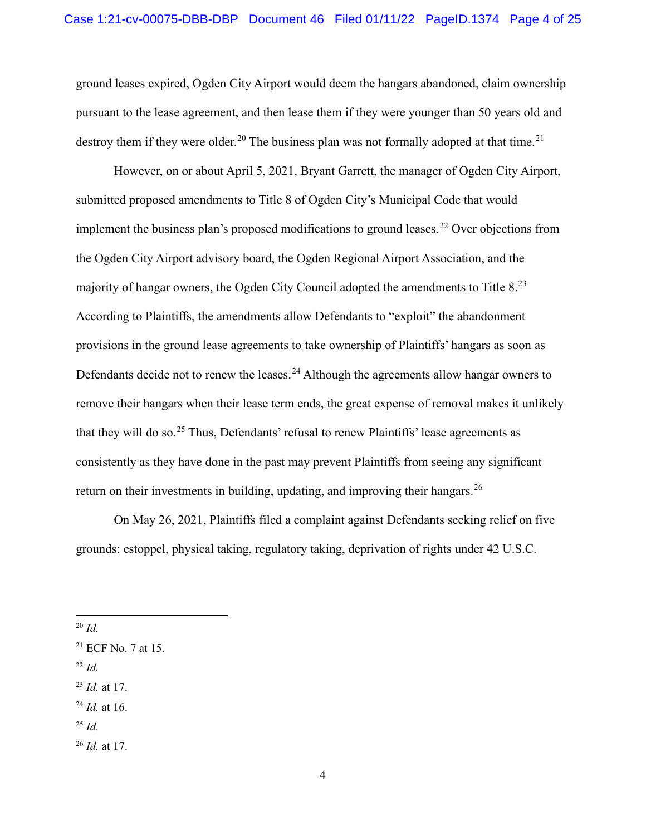ground leases expired, Ogden City Airport would deem the hangars abandoned, claim ownership pursuant to the lease agreement, and then lease them if they were younger than 50 years old and destroy them if they were older.<sup>[20](#page-3-0)</sup> The business plan was not formally adopted at that time.<sup>[21](#page-3-1)</sup>

However, on or about April 5, 2021, Bryant Garrett, the manager of Ogden City Airport, submitted proposed amendments to Title 8 of Ogden City's Municipal Code that would implement the business plan's proposed modifications to ground leases.<sup>[22](#page-3-2)</sup> Over objections from the Ogden City Airport advisory board, the Ogden Regional Airport Association, and the majority of hangar owners, the Ogden City Council adopted the amendments to Title 8.<sup>[23](#page-3-3)</sup> According to Plaintiffs, the amendments allow Defendants to "exploit" the abandonment provisions in the ground lease agreements to take ownership of Plaintiffs' hangars as soon as Defendants decide not to renew the leases.<sup>[24](#page-3-4)</sup> Although the agreements allow hangar owners to remove their hangars when their lease term ends, the great expense of removal makes it unlikely that they will do so.[25](#page-3-5) Thus, Defendants' refusal to renew Plaintiffs' lease agreements as consistently as they have done in the past may prevent Plaintiffs from seeing any significant return on their investments in building, updating, and improving their hangars.<sup>[26](#page-3-6)</sup>

On May 26, 2021, Plaintiffs filed a complaint against Defendants seeking relief on five grounds: estoppel, physical taking, regulatory taking, deprivation of rights under 42 U.S.C.

<span id="page-3-2"></span><sup>22</sup> *Id.*

<span id="page-3-5"></span><sup>25</sup> *Id.*

<span id="page-3-0"></span><sup>20</sup> *Id.*

<span id="page-3-1"></span><sup>21</sup> ECF No. 7 at 15.

<span id="page-3-3"></span><sup>23</sup> *Id.* at 17.

<span id="page-3-4"></span><sup>24</sup> *Id.* at 16.

<span id="page-3-6"></span><sup>26</sup> *Id.* at 17.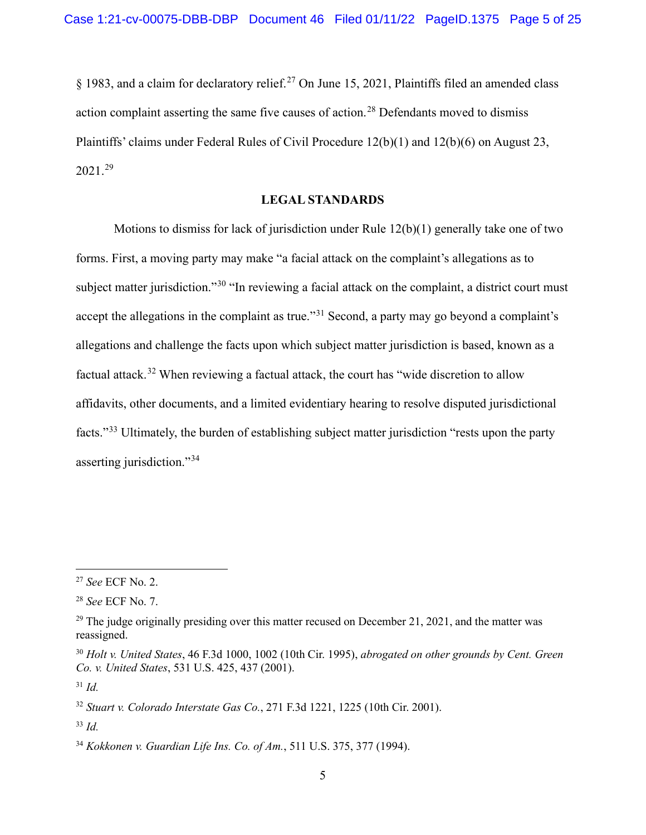$\S$  1983, and a claim for declaratory relief.<sup>[27](#page-4-0)</sup> On June 15, 2021, Plaintiffs filed an amended class action complaint asserting the same five causes of action.<sup>[28](#page-4-1)</sup> Defendants moved to dismiss Plaintiffs' claims under Federal Rules of Civil Procedure 12(b)(1) and 12(b)(6) on August 23, 2021. [29](#page-4-2)

# **LEGAL STANDARDS**

Motions to dismiss for lack of jurisdiction under Rule 12(b)(1) generally take one of two forms. First, a moving party may make "a facial attack on the complaint's allegations as to subject matter jurisdiction."<sup>[30](#page-4-3)</sup> "In reviewing a facial attack on the complaint, a district court must accept the allegations in the complaint as true."<sup>[31](#page-4-4)</sup> Second, a party may go beyond a complaint's allegations and challenge the facts upon which subject matter jurisdiction is based, known as a factual attack.<sup>[32](#page-4-5)</sup> When reviewing a factual attack, the court has "wide discretion to allow affidavits, other documents, and a limited evidentiary hearing to resolve disputed jurisdictional facts."[33](#page-4-6) Ultimately, the burden of establishing subject matter jurisdiction "rests upon the party asserting jurisdiction."<sup>[34](#page-4-7)</sup>

<span id="page-4-0"></span><sup>27</sup> *See* ECF No. 2.

<span id="page-4-1"></span><sup>28</sup> *See* ECF No. 7.

<span id="page-4-2"></span> $29$  The judge originally presiding over this matter recused on December 21, 2021, and the matter was reassigned.

<span id="page-4-3"></span><sup>30</sup> *Holt v. United States*, 46 F.3d 1000, 1002 (10th Cir. 1995), *abrogated on other grounds by Cent. Green Co. v. United States*, 531 U.S. 425, 437 (2001).

<span id="page-4-4"></span><sup>31</sup> *Id.*

<span id="page-4-5"></span><sup>32</sup> *Stuart v. Colorado Interstate Gas Co.*, 271 F.3d 1221, 1225 (10th Cir. 2001).

<span id="page-4-6"></span><sup>33</sup> *Id.*

<span id="page-4-7"></span><sup>34</sup> *Kokkonen v. Guardian Life Ins. Co. of Am.*, 511 U.S. 375, 377 (1994).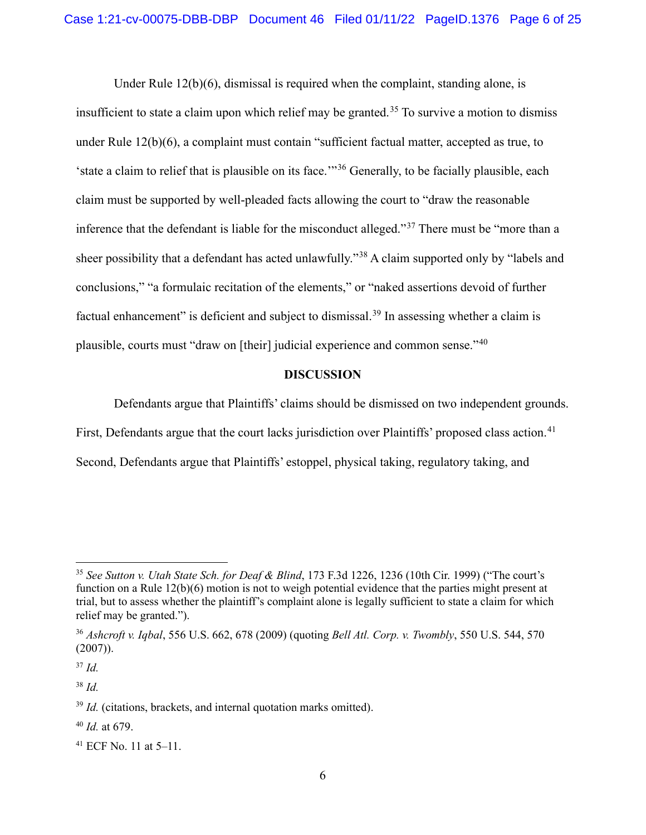Under Rule  $12(b)(6)$ , dismissal is required when the complaint, standing alone, is insufficient to state a claim upon which relief may be granted.<sup>[35](#page-5-0)</sup> To survive a motion to dismiss under Rule 12(b)(6), a complaint must contain "sufficient factual matter, accepted as true, to 'state a claim to relief that is plausible on its face.'"[36](#page-5-1) Generally, to be facially plausible, each claim must be supported by well-pleaded facts allowing the court to "draw the reasonable inference that the defendant is liable for the misconduct alleged."[37](#page-5-2) There must be "more than a sheer possibility that a defendant has acted unlawfully."<sup>[38](#page-5-3)</sup> A claim supported only by "labels and conclusions," "a formulaic recitation of the elements," or "naked assertions devoid of further factual enhancement" is deficient and subject to dismissal.<sup>[39](#page-5-4)</sup> In assessing whether a claim is plausible, courts must "draw on [their] judicial experience and common sense."[40](#page-5-5)

### **DISCUSSION**

Defendants argue that Plaintiffs' claims should be dismissed on two independent grounds.

First, Defendants argue that the court lacks jurisdiction over Plaintiffs' proposed class action.<sup>[41](#page-5-6)</sup>

Second, Defendants argue that Plaintiffs' estoppel, physical taking, regulatory taking, and

<span id="page-5-2"></span><sup>37</sup> *Id.*

<span id="page-5-3"></span><sup>38</sup> *Id.* 

<span id="page-5-5"></span><sup>40</sup> *Id.* at 679.

<span id="page-5-0"></span><sup>35</sup> *See Sutton v. Utah State Sch. for Deaf & Blind*, 173 F.3d 1226, 1236 (10th Cir. 1999) ("The court's function on a Rule 12(b)(6) motion is not to weigh potential evidence that the parties might present at trial, but to assess whether the plaintiff's complaint alone is legally sufficient to state a claim for which relief may be granted.").

<span id="page-5-1"></span><sup>36</sup> *Ashcroft v. Iqbal*, 556 U.S. 662, 678 (2009) (quoting *Bell Atl. Corp. v. Twombly*, 550 U.S. 544, 570 (2007)).

<span id="page-5-4"></span><sup>&</sup>lt;sup>39</sup> *Id.* (citations, brackets, and internal quotation marks omitted).

<span id="page-5-6"></span><sup>41</sup> ECF No. 11 at 5–11.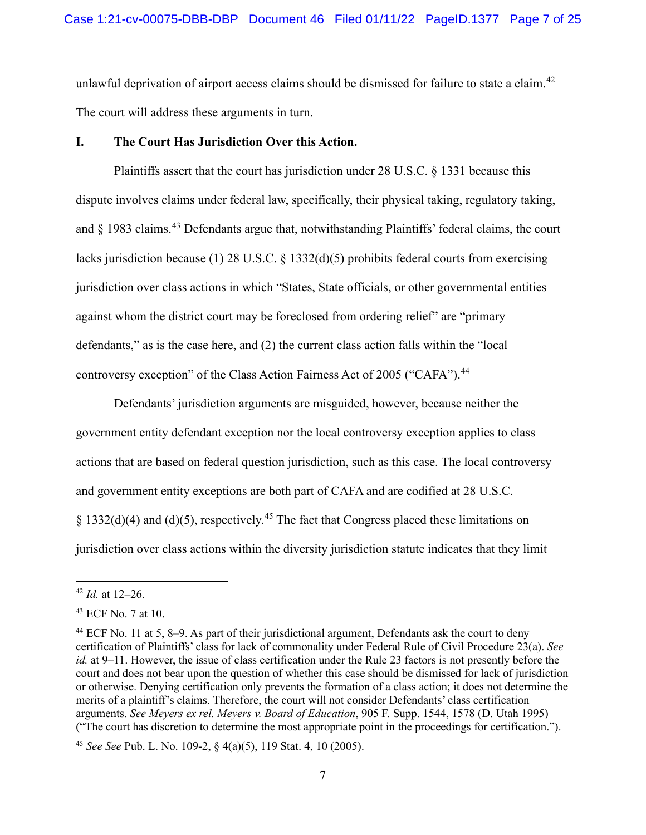unlawful deprivation of airport access claims should be dismissed for failure to state a claim.<sup>[42](#page-6-0)</sup> The court will address these arguments in turn.

# **I. The Court Has Jurisdiction Over this Action.**

Plaintiffs assert that the court has jurisdiction under 28 U.S.C. § 1331 because this dispute involves claims under federal law, specifically, their physical taking, regulatory taking, and § 1983 claims.<sup>[43](#page-6-1)</sup> Defendants argue that, notwithstanding Plaintiffs' federal claims, the court lacks jurisdiction because (1) 28 U.S.C. § 1332(d)(5) prohibits federal courts from exercising jurisdiction over class actions in which "States, State officials, or other governmental entities against whom the district court may be foreclosed from ordering relief" are "primary defendants," as is the case here, and (2) the current class action falls within the "local controversy exception" of the Class Action Fairness Act of 2005 ("CAFA").<sup>[44](#page-6-2)</sup>

Defendants' jurisdiction arguments are misguided, however, because neither the government entity defendant exception nor the local controversy exception applies to class actions that are based on federal question jurisdiction, such as this case. The local controversy and government entity exceptions are both part of CAFA and are codified at 28 U.S.C. § 1332(d)(4) and (d)(5), respectively.<sup>[45](#page-6-3)</sup> The fact that Congress placed these limitations on jurisdiction over class actions within the diversity jurisdiction statute indicates that they limit

<span id="page-6-0"></span><sup>42</sup> *Id.* at 12–26.

<span id="page-6-1"></span><sup>43</sup> ECF No. 7 at 10.

<span id="page-6-2"></span><sup>44</sup> ECF No. 11 at 5, 8–9. As part of their jurisdictional argument, Defendants ask the court to deny certification of Plaintiffs' class for lack of commonality under Federal Rule of Civil Procedure 23(a). *See id.* at 9–11. However, the issue of class certification under the Rule 23 factors is not presently before the court and does not bear upon the question of whether this case should be dismissed for lack of jurisdiction or otherwise. Denying certification only prevents the formation of a class action; it does not determine the merits of a plaintiff's claims. Therefore, the court will not consider Defendants' class certification arguments. *See Meyers ex rel. Meyers v. Board of Education*, 905 F. Supp. 1544, 1578 (D. Utah 1995) ("The court has discretion to determine the most appropriate point in the proceedings for certification.").

<span id="page-6-3"></span><sup>45</sup> *See See* Pub. L. No. 109-2, § 4(a)(5), 119 Stat. 4, 10 (2005).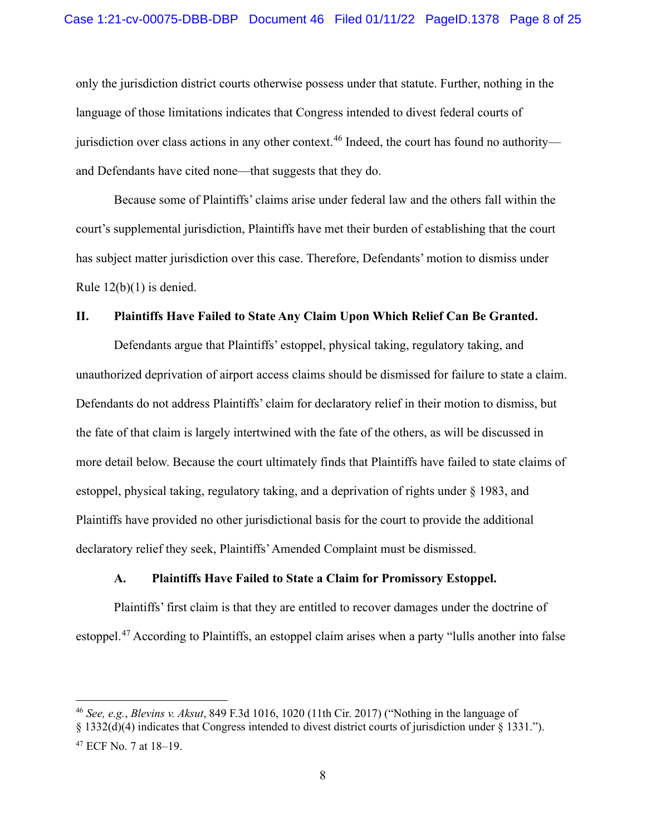only the jurisdiction district courts otherwise possess under that statute. Further, nothing in the language of those limitations indicates that Congress intended to divest federal courts of jurisdiction over class actions in any other context.<sup>[46](#page-7-0)</sup> Indeed, the court has found no authority and Defendants have cited none—that suggests that they do.

Because some of Plaintiffs' claims arise under federal law and the others fall within the court's supplemental jurisdiction, Plaintiffs have met their burden of establishing that the court has subject matter jurisdiction over this case. Therefore, Defendants' motion to dismiss under Rule  $12(b)(1)$  is denied.

#### **II. Plaintiffs Have Failed to State Any Claim Upon Which Relief Can Be Granted.**

Defendants argue that Plaintiffs' estoppel, physical taking, regulatory taking, and unauthorized deprivation of airport access claims should be dismissed for failure to state a claim. Defendants do not address Plaintiffs' claim for declaratory relief in their motion to dismiss, but the fate of that claim is largely intertwined with the fate of the others, as will be discussed in more detail below. Because the court ultimately finds that Plaintiffs have failed to state claims of estoppel, physical taking, regulatory taking, and a deprivation of rights under § 1983, and Plaintiffs have provided no other jurisdictional basis for the court to provide the additional declaratory relief they seek, Plaintiffs' Amended Complaint must be dismissed.

### **A. Plaintiffs Have Failed to State a Claim for Promissory Estoppel.**

Plaintiffs' first claim is that they are entitled to recover damages under the doctrine of estoppel.[47](#page-7-1) According to Plaintiffs, an estoppel claim arises when a party "lulls another into false

<span id="page-7-0"></span><sup>46</sup> *See, e.g.*, *Blevins v. Aksut*, 849 F.3d 1016, 1020 (11th Cir. 2017) ("Nothing in the language of

<sup>§ 1332(</sup>d)(4) indicates that Congress intended to divest district courts of jurisdiction under § 1331.").

<span id="page-7-1"></span><sup>47</sup> ECF No. 7 at 18–19.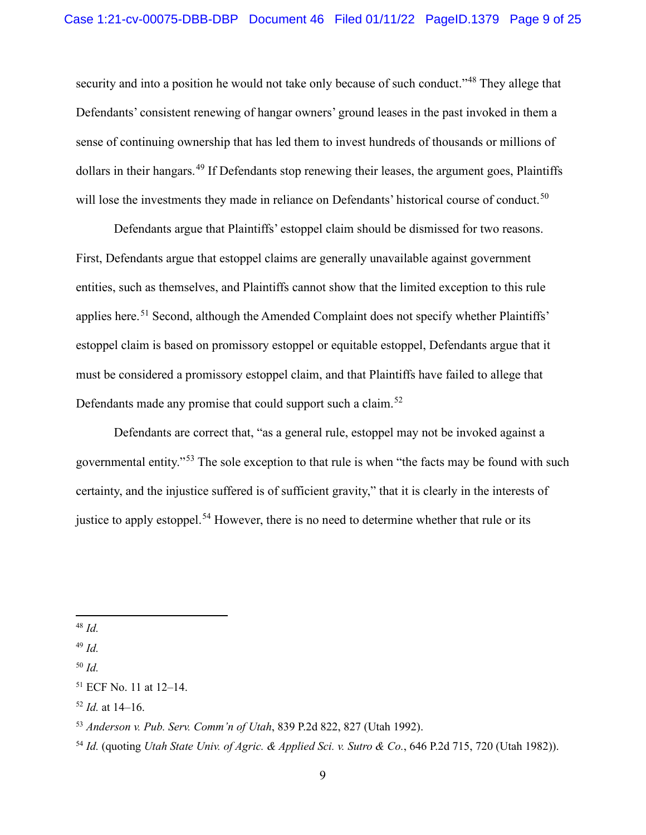security and into a position he would not take only because of such conduct."<sup>[48](#page-8-0)</sup> They allege that Defendants' consistent renewing of hangar owners' ground leases in the past invoked in them a sense of continuing ownership that has led them to invest hundreds of thousands or millions of dollars in their hangars.<sup>[49](#page-8-1)</sup> If Defendants stop renewing their leases, the argument goes, Plaintiffs will lose the investments they made in reliance on Defendants' historical course of conduct.<sup>[50](#page-8-2)</sup>

Defendants argue that Plaintiffs' estoppel claim should be dismissed for two reasons. First, Defendants argue that estoppel claims are generally unavailable against government entities, such as themselves, and Plaintiffs cannot show that the limited exception to this rule applies here.<sup>[51](#page-8-3)</sup> Second, although the Amended Complaint does not specify whether Plaintiffs' estoppel claim is based on promissory estoppel or equitable estoppel, Defendants argue that it must be considered a promissory estoppel claim, and that Plaintiffs have failed to allege that Defendants made any promise that could support such a claim.<sup>[52](#page-8-4)</sup>

Defendants are correct that, "as a general rule, estoppel may not be invoked against a governmental entity."[53](#page-8-5) The sole exception to that rule is when "the facts may be found with such certainty, and the injustice suffered is of sufficient gravity," that it is clearly in the interests of justice to apply estoppel.<sup>[54](#page-8-6)</sup> However, there is no need to determine whether that rule or its

<span id="page-8-0"></span><sup>48</sup> *Id.*

<span id="page-8-1"></span><sup>49</sup> *Id.* 

<span id="page-8-2"></span><sup>50</sup> *Id.*

<span id="page-8-3"></span><sup>51</sup> ECF No. 11 at 12–14.

<span id="page-8-4"></span><sup>52</sup> *Id.* at 14–16.

<span id="page-8-5"></span><sup>53</sup> *Anderson v. Pub. Serv. Comm'n of Utah*, 839 P.2d 822, 827 (Utah 1992).

<span id="page-8-6"></span><sup>54</sup> *Id.* (quoting *Utah State Univ. of Agric. & Applied Sci. v. Sutro & Co.*, 646 P.2d 715, 720 (Utah 1982)).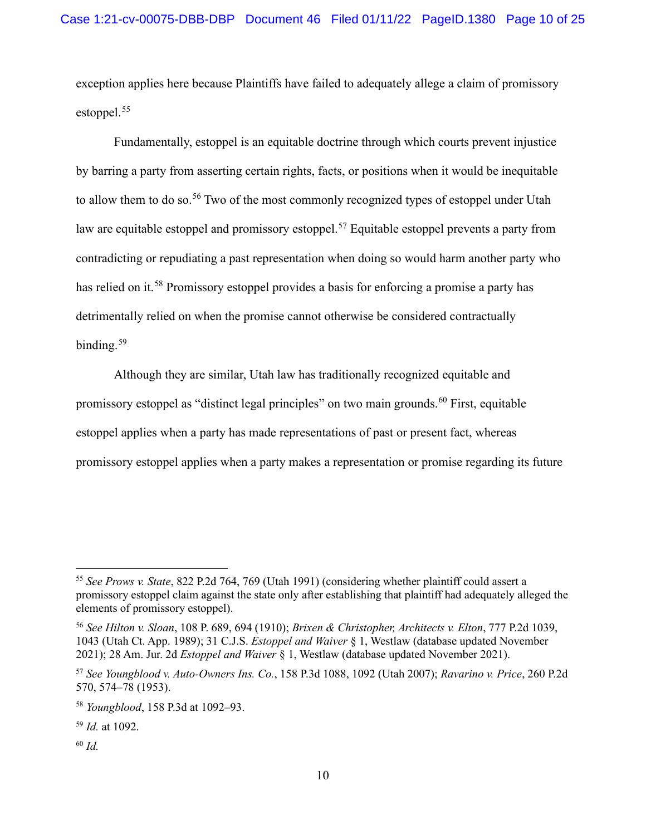exception applies here because Plaintiffs have failed to adequately allege a claim of promissory estoppel. [55](#page-9-0)

Fundamentally, estoppel is an equitable doctrine through which courts prevent injustice by barring a party from asserting certain rights, facts, or positions when it would be inequitable to allow them to do so.<sup>[56](#page-9-1)</sup> Two of the most commonly recognized types of estoppel under Utah law are equitable estoppel and promissory estoppel.<sup>[57](#page-9-2)</sup> Equitable estoppel prevents a party from contradicting or repudiating a past representation when doing so would harm another party who has relied on it.<sup>[58](#page-9-3)</sup> Promissory estoppel provides a basis for enforcing a promise a party has detrimentally relied on when the promise cannot otherwise be considered contractually binding.<sup>[59](#page-9-4)</sup>

Although they are similar, Utah law has traditionally recognized equitable and promissory estoppel as "distinct legal principles" on two main grounds. [60](#page-9-5) First, equitable estoppel applies when a party has made representations of past or present fact, whereas promissory estoppel applies when a party makes a representation or promise regarding its future

<span id="page-9-5"></span><sup>60</sup> *Id.* 

<span id="page-9-1"></span><span id="page-9-0"></span><sup>55</sup> *See Prows v. State*, 822 P.2d 764, 769 (Utah 1991) (considering whether plaintiff could assert a promissory estoppel claim against the state only after establishing that plaintiff had adequately alleged the elements of promissory estoppel).

<span id="page-9-2"></span><sup>56</sup> *See Hilton v. Sloan*, 108 P. 689, 694 (1910); *Brixen & Christopher, Architects v. Elton*, 777 P.2d 1039, 1043 (Utah Ct. App. 1989); 31 C.J.S. *Estoppel and Waiver* § 1, Westlaw (database updated November 2021); 28 Am. Jur. 2d *Estoppel and Waiver* § 1, Westlaw (database updated November 2021).

<span id="page-9-4"></span><span id="page-9-3"></span><sup>57</sup> *See Youngblood v. Auto-Owners Ins. Co.*, 158 P.3d 1088, 1092 (Utah 2007); *Ravarino v. Price*, 260 P.2d 570, 574–78 (1953).

<sup>58</sup> *Youngblood*, 158 P.3d at 1092–93.

<sup>59</sup> *Id.* at 1092.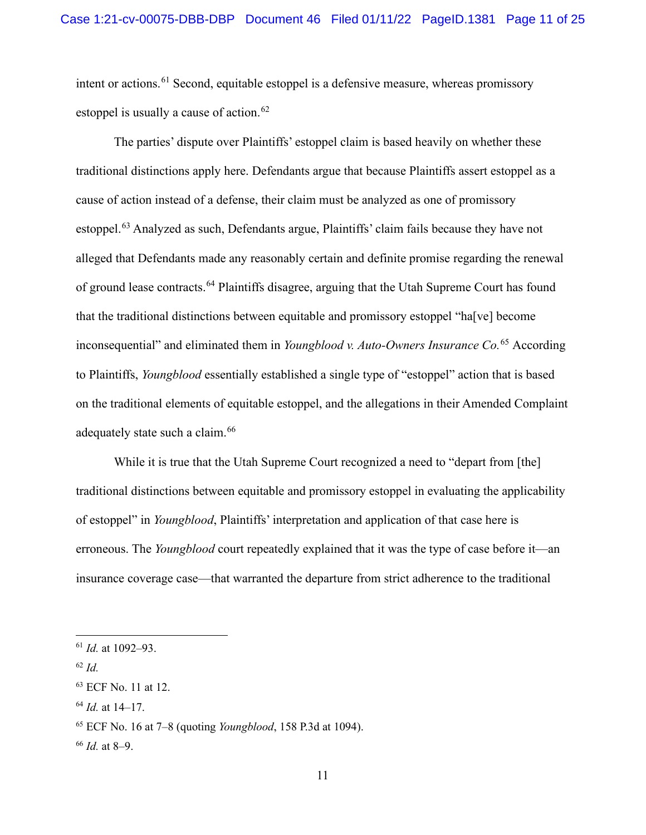intent or actions. [61](#page-10-0) Second, equitable estoppel is a defensive measure, whereas promissory estoppel is usually a cause of action.<sup>62</sup>

The parties' dispute over Plaintiffs' estoppel claim is based heavily on whether these traditional distinctions apply here. Defendants argue that because Plaintiffs assert estoppel as a cause of action instead of a defense, their claim must be analyzed as one of promissory estoppel.[63](#page-10-2) Analyzed as such, Defendants argue, Plaintiffs' claim fails because they have not alleged that Defendants made any reasonably certain and definite promise regarding the renewal of ground lease contracts.<sup>[64](#page-10-3)</sup> Plaintiffs disagree, arguing that the Utah Supreme Court has found that the traditional distinctions between equitable and promissory estoppel "ha[ve] become inconsequential" and eliminated them in *Youngblood v. Auto-Owners Insurance Co.*[65](#page-10-4) According to Plaintiffs, *Youngblood* essentially established a single type of "estoppel" action that is based on the traditional elements of equitable estoppel, and the allegations in their Amended Complaint adequately state such a claim.<sup>66</sup>

While it is true that the Utah Supreme Court recognized a need to "depart from [the] traditional distinctions between equitable and promissory estoppel in evaluating the applicability of estoppel" in *Youngblood*, Plaintiffs' interpretation and application of that case here is erroneous. The *Youngblood* court repeatedly explained that it was the type of case before it—an insurance coverage case—that warranted the departure from strict adherence to the traditional

<span id="page-10-1"></span><sup>62</sup> *Id.*

<span id="page-10-0"></span><sup>61</sup> *Id.* at 1092–93.

<span id="page-10-2"></span><sup>63</sup> ECF No. 11 at 12.

<span id="page-10-3"></span><sup>64</sup> *Id.* at 14–17.

<span id="page-10-4"></span><sup>65</sup> ECF No. 16 at 7–8 (quoting *Youngblood*, 158 P.3d at 1094).

<span id="page-10-5"></span><sup>66</sup> *Id.* at 8–9.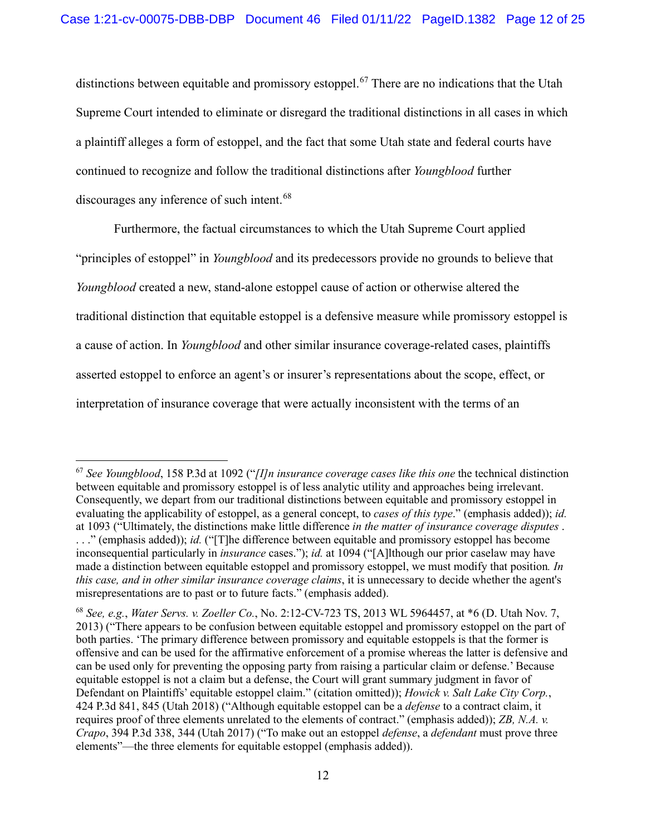distinctions between equitable and promissory estoppel.<sup>[67](#page-11-0)</sup> There are no indications that the Utah Supreme Court intended to eliminate or disregard the traditional distinctions in all cases in which a plaintiff alleges a form of estoppel, and the fact that some Utah state and federal courts have continued to recognize and follow the traditional distinctions after *Youngblood* further discourages any inference of such intent.<sup>[68](#page-11-1)</sup>

Furthermore, the factual circumstances to which the Utah Supreme Court applied "principles of estoppel" in *Youngblood* and its predecessors provide no grounds to believe that *Youngblood* created a new, stand-alone estoppel cause of action or otherwise altered the traditional distinction that equitable estoppel is a defensive measure while promissory estoppel is a cause of action. In *Youngblood* and other similar insurance coverage-related cases, plaintiffs asserted estoppel to enforce an agent's or insurer's representations about the scope, effect, or interpretation of insurance coverage that were actually inconsistent with the terms of an

<span id="page-11-0"></span><sup>67</sup> *See Youngblood*, 158 P.3d at 1092 ("*[I]n insurance coverage cases like this one* the technical distinction between equitable and promissory estoppel is of less analytic utility and approaches being irrelevant. Consequently, we depart from our traditional distinctions between equitable and promissory estoppel in evaluating the applicability of estoppel, as a general concept, to *cases of this type*." (emphasis added)); *id.*  at 1093 ("Ultimately, the distinctions make little difference *in the matter of insurance coverage disputes* . . . ." (emphasis added)); *id.* ("[T]he difference between equitable and promissory estoppel has become inconsequential particularly in *insurance* cases."); *id.* at 1094 ("[A]lthough our prior caselaw may have made a distinction between equitable estoppel and promissory estoppel, we must modify that position*. In this case, and in other similar insurance coverage claims*, it is unnecessary to decide whether the agent's misrepresentations are to past or to future facts." (emphasis added).

<span id="page-11-1"></span><sup>68</sup> *See, e.g.*, *Water Servs. v. Zoeller Co.*, No. 2:12-CV-723 TS, 2013 WL 5964457, at \*6 (D. Utah Nov. 7, 2013) ("There appears to be confusion between equitable estoppel and promissory estoppel on the part of both parties. 'The primary difference between promissory and equitable estoppels is that the former is offensive and can be used for the affirmative enforcement of a promise whereas the latter is defensive and can be used only for preventing the opposing party from raising a particular claim or defense.' Because equitable estoppel is not a claim but a defense, the Court will grant summary judgment in favor of Defendant on Plaintiffs' equitable estoppel claim." (citation omitted)); *Howick v. Salt Lake City Corp.*, 424 P.3d 841, 845 (Utah 2018) ("Although equitable estoppel can be a *defense* to a contract claim, it requires proof of three elements unrelated to the elements of contract." (emphasis added)); *ZB, N.A. v. Crapo*, 394 P.3d 338, 344 (Utah 2017) ("To make out an estoppel *defense*, a *defendant* must prove three elements"—the three elements for equitable estoppel (emphasis added)).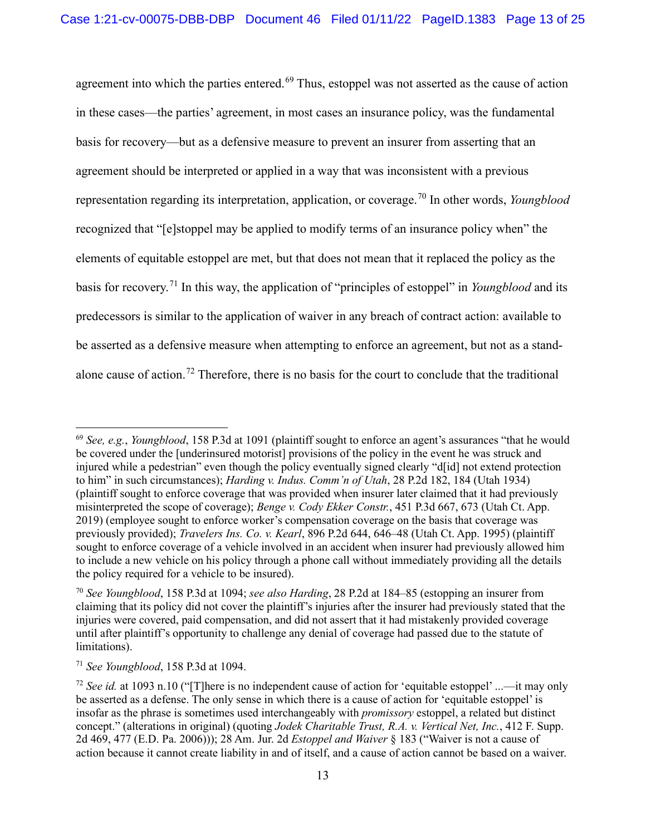agreement into which the parties entered.<sup>[69](#page-12-0)</sup> Thus, estoppel was not asserted as the cause of action in these cases—the parties' agreement, in most cases an insurance policy, was the fundamental basis for recovery—but as a defensive measure to prevent an insurer from asserting that an agreement should be interpreted or applied in a way that was inconsistent with a previous representation regarding its interpretation, application, or coverage.[70](#page-12-1) In other words, *Youngblood*  recognized that "[e]stoppel may be applied to modify terms of an insurance policy when" the elements of equitable estoppel are met, but that does not mean that it replaced the policy as the basis for recovery. [71](#page-12-2) In this way, the application of "principles of estoppel" in *Youngblood* and its predecessors is similar to the application of waiver in any breach of contract action: available to be asserted as a defensive measure when attempting to enforce an agreement, but not as a standalone cause of action.[72](#page-12-3) Therefore, there is no basis for the court to conclude that the traditional

<span id="page-12-0"></span><sup>69</sup> *See, e.g.*, *Youngblood*, 158 P.3d at 1091 (plaintiff sought to enforce an agent's assurances "that he would be covered under the [underinsured motorist] provisions of the policy in the event he was struck and injured while a pedestrian" even though the policy eventually signed clearly "d[id] not extend protection to him" in such circumstances); *Harding v. Indus. Comm'n of Utah*, 28 P.2d 182, 184 (Utah 1934) (plaintiff sought to enforce coverage that was provided when insurer later claimed that it had previously misinterpreted the scope of coverage); *Benge v. Cody Ekker Constr.*, 451 P.3d 667, 673 (Utah Ct. App. 2019) (employee sought to enforce worker's compensation coverage on the basis that coverage was previously provided); *Travelers Ins. Co. v. Kearl*, 896 P.2d 644, 646–48 (Utah Ct. App. 1995) (plaintiff sought to enforce coverage of a vehicle involved in an accident when insurer had previously allowed him to include a new vehicle on his policy through a phone call without immediately providing all the details the policy required for a vehicle to be insured).

<span id="page-12-1"></span><sup>70</sup> *See Youngblood*, 158 P.3d at 1094; *see also Harding*, 28 P.2d at 184–85 (estopping an insurer from claiming that its policy did not cover the plaintiff's injuries after the insurer had previously stated that the injuries were covered, paid compensation, and did not assert that it had mistakenly provided coverage until after plaintiff's opportunity to challenge any denial of coverage had passed due to the statute of limitations).

<span id="page-12-2"></span><sup>71</sup> *See Youngblood*, 158 P.3d at 1094.

<span id="page-12-3"></span><sup>72</sup> *See id.* at 1093 n.10 ("[T]here is no independent cause of action for 'equitable estoppel' ...—it may only be asserted as a defense. The only sense in which there is a cause of action for 'equitable estoppel' is insofar as the phrase is sometimes used interchangeably with *promissory* estoppel, a related but distinct concept." (alterations in original) (quoting *Jodek Charitable Trust, R.A. v. Vertical Net, Inc.*, 412 F. Supp. 2d 469, 477 (E.D. Pa. 2006))); 28 Am. Jur. 2d *Estoppel and Waiver* § 183 ("Waiver is not a cause of action because it cannot create liability in and of itself, and a cause of action cannot be based on a waiver.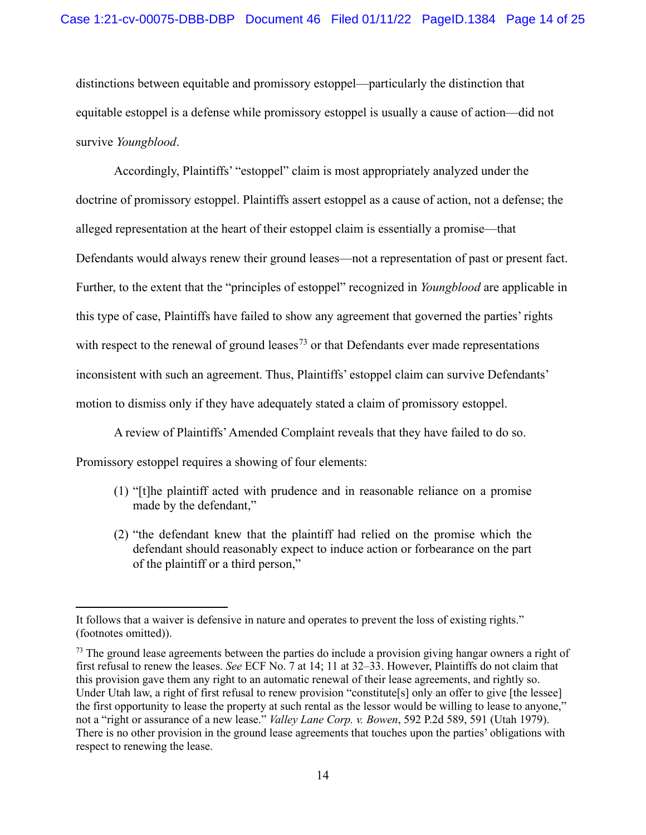distinctions between equitable and promissory estoppel—particularly the distinction that equitable estoppel is a defense while promissory estoppel is usually a cause of action—did not survive *Youngblood*.

Accordingly, Plaintiffs' "estoppel" claim is most appropriately analyzed under the doctrine of promissory estoppel. Plaintiffs assert estoppel as a cause of action, not a defense; the alleged representation at the heart of their estoppel claim is essentially a promise—that Defendants would always renew their ground leases—not a representation of past or present fact. Further, to the extent that the "principles of estoppel" recognized in *Youngblood* are applicable in this type of case, Plaintiffs have failed to show any agreement that governed the parties' rights with respect to the renewal of ground leases<sup>[73](#page-13-0)</sup> or that Defendants ever made representations inconsistent with such an agreement. Thus, Plaintiffs' estoppel claim can survive Defendants' motion to dismiss only if they have adequately stated a claim of promissory estoppel.

A review of Plaintiffs' Amended Complaint reveals that they have failed to do so.

Promissory estoppel requires a showing of four elements:

- (1) "[t]he plaintiff acted with prudence and in reasonable reliance on a promise made by the defendant,"
- (2) "the defendant knew that the plaintiff had relied on the promise which the defendant should reasonably expect to induce action or forbearance on the part of the plaintiff or a third person,"

It follows that a waiver is defensive in nature and operates to prevent the loss of existing rights." (footnotes omitted)).

<span id="page-13-0"></span><sup>&</sup>lt;sup>73</sup> The ground lease agreements between the parties do include a provision giving hangar owners a right of first refusal to renew the leases. *See* ECF No. 7 at 14; 11 at 32–33. However, Plaintiffs do not claim that this provision gave them any right to an automatic renewal of their lease agreements, and rightly so. Under Utah law, a right of first refusal to renew provision "constitute[s] only an offer to give [the lessee] the first opportunity to lease the property at such rental as the lessor would be willing to lease to anyone," not a "right or assurance of a new lease." *Valley Lane Corp. v. Bowen*, 592 P.2d 589, 591 (Utah 1979). There is no other provision in the ground lease agreements that touches upon the parties' obligations with respect to renewing the lease.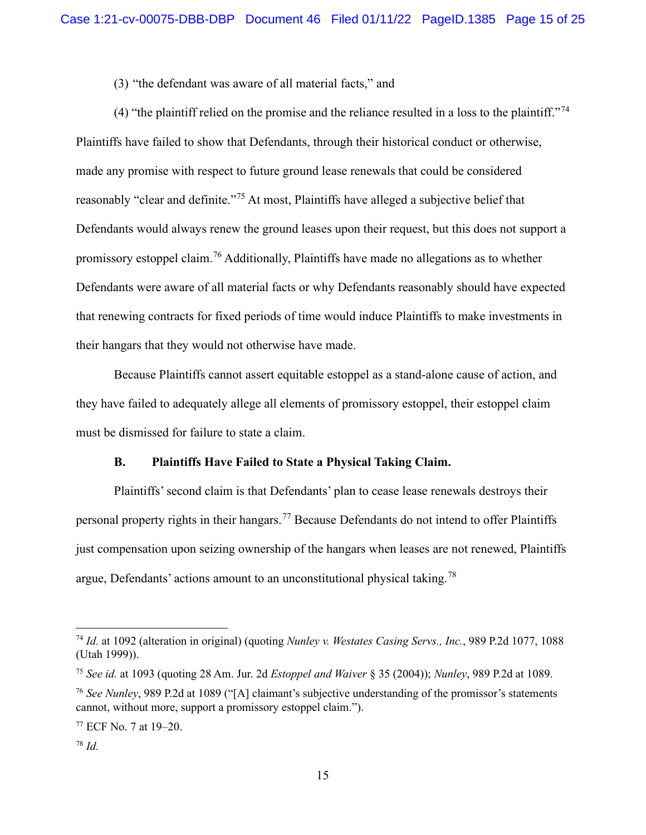(3) "the defendant was aware of all material facts," and

(4) "the plaintiff relied on the promise and the reliance resulted in a loss to the plaintiff."<sup>[74](#page-14-0)</sup> Plaintiffs have failed to show that Defendants, through their historical conduct or otherwise, made any promise with respect to future ground lease renewals that could be considered reasonably "clear and definite."<sup>[75](#page-14-1)</sup> At most, Plaintiffs have alleged a subjective belief that Defendants would always renew the ground leases upon their request, but this does not support a promissory estoppel claim.<sup>[76](#page-14-2)</sup> Additionally, Plaintiffs have made no allegations as to whether Defendants were aware of all material facts or why Defendants reasonably should have expected that renewing contracts for fixed periods of time would induce Plaintiffs to make investments in their hangars that they would not otherwise have made.

Because Plaintiffs cannot assert equitable estoppel as a stand-alone cause of action, and they have failed to adequately allege all elements of promissory estoppel, their estoppel claim must be dismissed for failure to state a claim.

### **B. Plaintiffs Have Failed to State a Physical Taking Claim.**

Plaintiffs' second claim is that Defendants' plan to cease lease renewals destroys their personal property rights in their hangars.<sup>[77](#page-14-3)</sup> Because Defendants do not intend to offer Plaintiffs just compensation upon seizing ownership of the hangars when leases are not renewed, Plaintiffs argue, Defendants' actions amount to an unconstitutional physical taking.<sup>[78](#page-14-4)</sup>

<span id="page-14-0"></span><sup>74</sup> *Id.* at 1092 (alteration in original) (quoting *Nunley v. Westates Casing Servs., Inc.*, 989 P.2d 1077, 1088 (Utah 1999)).

<span id="page-14-1"></span><sup>75</sup> *See id.* at 1093 (quoting 28 Am. Jur. 2d *Estoppel and Waiver* § 35 (2004)); *Nunley*, 989 P.2d at 1089.

<span id="page-14-2"></span><sup>76</sup> *See Nunley*, 989 P.2d at 1089 ("[A] claimant's subjective understanding of the promissor's statements cannot, without more, support a promissory estoppel claim.").

<span id="page-14-3"></span><sup>77</sup> ECF No. 7 at 19–20.

<span id="page-14-4"></span><sup>78</sup> *Id.*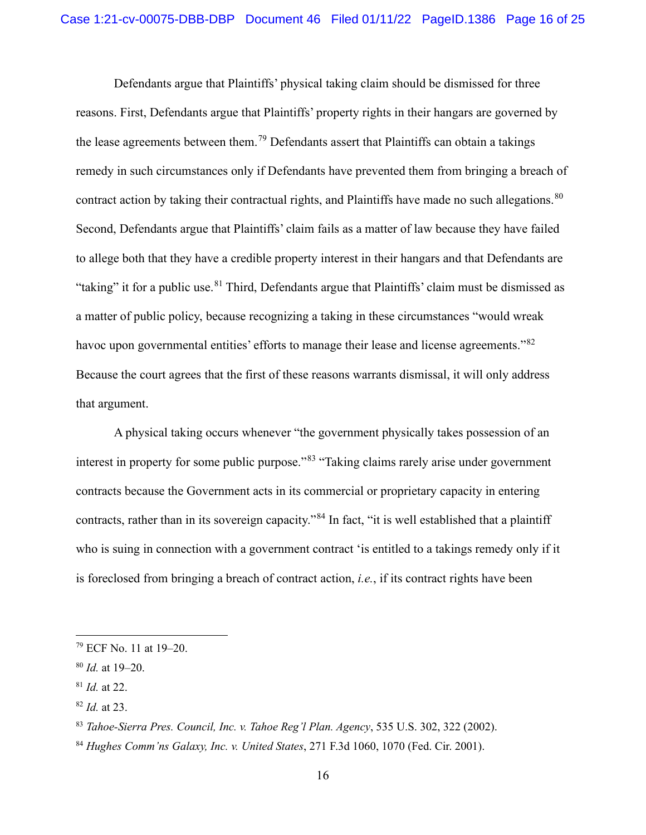Defendants argue that Plaintiffs' physical taking claim should be dismissed for three reasons. First, Defendants argue that Plaintiffs' property rights in their hangars are governed by the lease agreements between them.<sup>[79](#page-15-0)</sup> Defendants assert that Plaintiffs can obtain a takings remedy in such circumstances only if Defendants have prevented them from bringing a breach of contract action by taking their contractual rights, and Plaintiffs have made no such allegations. <sup>[80](#page-15-1)</sup> Second, Defendants argue that Plaintiffs' claim fails as a matter of law because they have failed to allege both that they have a credible property interest in their hangars and that Defendants are "taking" it for a public use.<sup>[81](#page-15-2)</sup> Third, Defendants argue that Plaintiffs' claim must be dismissed as a matter of public policy, because recognizing a taking in these circumstances "would wreak havoc upon governmental entities' efforts to manage their lease and license agreements."<sup>[82](#page-15-3)</sup> Because the court agrees that the first of these reasons warrants dismissal, it will only address that argument.

A physical taking occurs whenever "the government physically takes possession of an interest in property for some public purpose."<sup>[83](#page-15-4)</sup> "Taking claims rarely arise under government contracts because the Government acts in its commercial or proprietary capacity in entering contracts, rather than in its sovereign capacity."[84](#page-15-5) In fact, "it is well established that a plaintiff who is suing in connection with a government contract 'is entitled to a takings remedy only if it is foreclosed from bringing a breach of contract action, *i.e.*, if its contract rights have been

<span id="page-15-0"></span><sup>79</sup> ECF No. 11 at 19–20.

<span id="page-15-1"></span><sup>80</sup> *Id.* at 19–20.

<span id="page-15-2"></span><sup>81</sup> *Id.* at 22.

<span id="page-15-3"></span><sup>82</sup> *Id.* at 23.

<span id="page-15-4"></span><sup>83</sup> *Tahoe-Sierra Pres. Council, Inc. v. Tahoe Reg'l Plan. Agency*, 535 U.S. 302, 322 (2002).

<span id="page-15-5"></span><sup>84</sup> *Hughes Comm'ns Galaxy, Inc. v. United States*, 271 F.3d 1060, 1070 (Fed. Cir. 2001).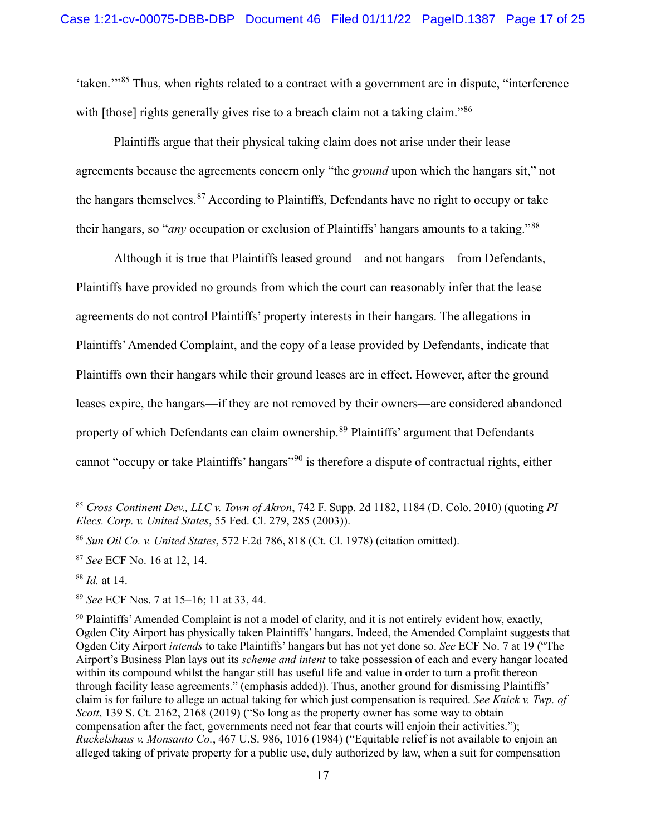'taken.'"[85](#page-16-0) Thus, when rights related to a contract with a government are in dispute, "interference with [those] rights generally gives rise to a breach claim not a taking claim."<sup>[86](#page-16-1)</sup>

Plaintiffs argue that their physical taking claim does not arise under their lease agreements because the agreements concern only "the *ground* upon which the hangars sit," not the hangars themselves.<sup>[87](#page-16-2)</sup> According to Plaintiffs, Defendants have no right to occupy or take their hangars, so "*any* occupation or exclusion of Plaintiffs' hangars amounts to a taking."[88](#page-16-3)

Although it is true that Plaintiffs leased ground—and not hangars—from Defendants, Plaintiffs have provided no grounds from which the court can reasonably infer that the lease agreements do not control Plaintiffs' property interests in their hangars. The allegations in Plaintiffs' Amended Complaint, and the copy of a lease provided by Defendants, indicate that Plaintiffs own their hangars while their ground leases are in effect. However, after the ground leases expire, the hangars—if they are not removed by their owners—are considered abandoned property of which Defendants can claim ownership.[89](#page-16-4) Plaintiffs' argument that Defendants cannot "occupy or take Plaintiffs' hangars"[90](#page-16-5) is therefore a dispute of contractual rights, either

<span id="page-16-0"></span><sup>85</sup> *Cross Continent Dev., LLC v. Town of Akron*, 742 F. Supp. 2d 1182, 1184 (D. Colo. 2010) (quoting *PI Elecs. Corp. v. United States*, 55 Fed. Cl. 279, 285 (2003)).

<span id="page-16-1"></span><sup>86</sup> *Sun Oil Co. v. United States*, 572 F.2d 786, 818 (Ct. Cl. 1978) (citation omitted).

<span id="page-16-2"></span><sup>87</sup> *See* ECF No. 16 at 12, 14.

<span id="page-16-3"></span><sup>88</sup> *Id.* at 14.

<span id="page-16-4"></span><sup>89</sup> *See* ECF Nos. 7 at 15–16; 11 at 33, 44.

<span id="page-16-5"></span><sup>90</sup> Plaintiffs' Amended Complaint is not a model of clarity, and it is not entirely evident how, exactly, Ogden City Airport has physically taken Plaintiffs' hangars. Indeed, the Amended Complaint suggests that Ogden City Airport *intends* to take Plaintiffs' hangars but has not yet done so. *See* ECF No. 7 at 19 ("The Airport's Business Plan lays out its *scheme and intent* to take possession of each and every hangar located within its compound whilst the hangar still has useful life and value in order to turn a profit thereon through facility lease agreements." (emphasis added)). Thus, another ground for dismissing Plaintiffs' claim is for failure to allege an actual taking for which just compensation is required. *See Knick v. Twp. of Scott*, 139 S. Ct. 2162, 2168 (2019) ("So long as the property owner has some way to obtain compensation after the fact, governments need not fear that courts will enjoin their activities."); *Ruckelshaus v. Monsanto Co.*, 467 U.S. 986, 1016 (1984) ("Equitable relief is not available to enjoin an alleged taking of private property for a public use, duly authorized by law, when a suit for compensation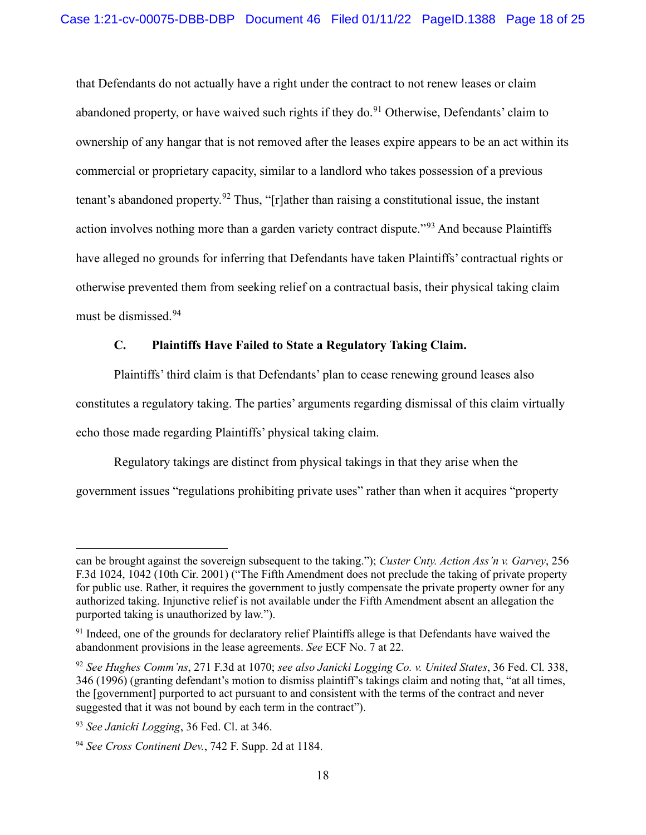that Defendants do not actually have a right under the contract to not renew leases or claim abandoned property, or have waived such rights if they do.<sup>[91](#page-17-0)</sup> Otherwise, Defendants' claim to ownership of any hangar that is not removed after the leases expire appears to be an act within its commercial or proprietary capacity, similar to a landlord who takes possession of a previous tenant's abandoned property.<sup>[92](#page-17-1)</sup> Thus, "[r]ather than raising a constitutional issue, the instant action involves nothing more than a garden variety contract dispute."<sup>[93](#page-17-2)</sup> And because Plaintiffs have alleged no grounds for inferring that Defendants have taken Plaintiffs' contractual rights or otherwise prevented them from seeking relief on a contractual basis, their physical taking claim must be dismissed. [94](#page-17-3)

# **C. Plaintiffs Have Failed to State a Regulatory Taking Claim.**

Plaintiffs' third claim is that Defendants' plan to cease renewing ground leases also constitutes a regulatory taking. The parties' arguments regarding dismissal of this claim virtually echo those made regarding Plaintiffs' physical taking claim.

Regulatory takings are distinct from physical takings in that they arise when the government issues "regulations prohibiting private uses" rather than when it acquires "property

can be brought against the sovereign subsequent to the taking."); *Custer Cnty. Action Ass'n v. Garvey*, 256 F.3d 1024, 1042 (10th Cir. 2001) ("The Fifth Amendment does not preclude the taking of private property for public use. Rather, it requires the government to justly compensate the private property owner for any authorized taking. Injunctive relief is not available under the Fifth Amendment absent an allegation the purported taking is unauthorized by law.").

<span id="page-17-0"></span><sup>&</sup>lt;sup>91</sup> Indeed, one of the grounds for declaratory relief Plaintiffs allege is that Defendants have waived the abandonment provisions in the lease agreements. *See* ECF No. 7 at 22.

<span id="page-17-1"></span><sup>92</sup> *See Hughes Comm'ns*, 271 F.3d at 1070; *see also Janicki Logging Co. v. United States*, 36 Fed. Cl. 338, 346 (1996) (granting defendant's motion to dismiss plaintiff's takings claim and noting that, "at all times, the [government] purported to act pursuant to and consistent with the terms of the contract and never suggested that it was not bound by each term in the contract").

<span id="page-17-2"></span><sup>93</sup> *See Janicki Logging*, 36 Fed. Cl. at 346.

<span id="page-17-3"></span><sup>94</sup> *See Cross Continent Dev.*, 742 F. Supp. 2d at 1184.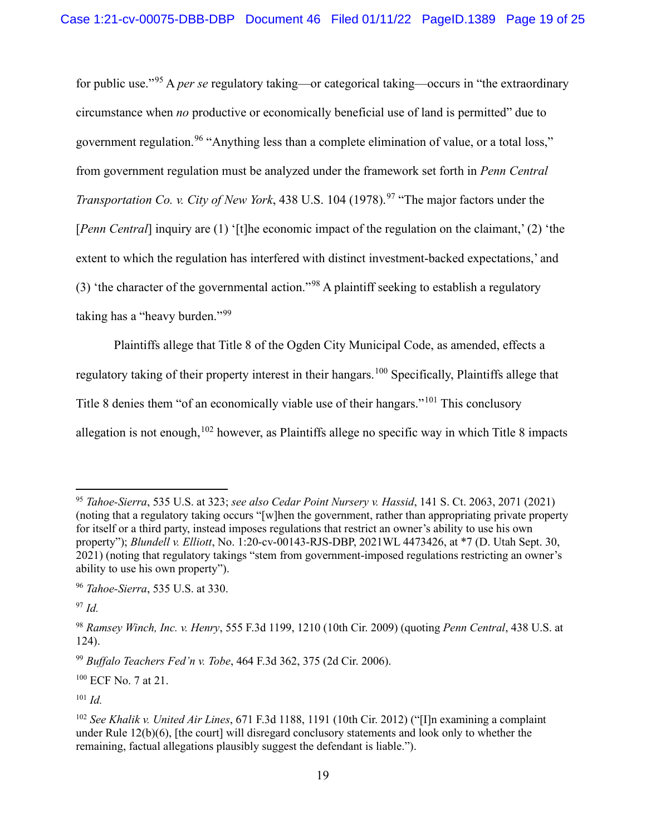for public use."[95](#page-18-0) A *per se* regulatory taking—or categorical taking—occurs in "the extraordinary circumstance when *no* productive or economically beneficial use of land is permitted" due to government regulation.<sup>[96](#page-18-1)</sup> "Anything less than a complete elimination of value, or a total loss." from government regulation must be analyzed under the framework set forth in *Penn Central Transportation Co. v. City of New York*, 438 U.S. 104 (1[97](#page-18-2)8).<sup>97</sup> "The major factors under the [*Penn Central*] inquiry are (1) '[t]he economic impact of the regulation on the claimant,' (2) 'the extent to which the regulation has interfered with distinct investment-backed expectations,' and (3) 'the character of the governmental action."[98](#page-18-3) A plaintiff seeking to establish a regulatory taking has a "heavy burden."<sup>[99](#page-18-4)</sup>

Plaintiffs allege that Title 8 of the Ogden City Municipal Code, as amended, effects a regulatory taking of their property interest in their hangars.<sup>[100](#page-18-5)</sup> Specifically, Plaintiffs allege that Title 8 denies them "of an economically viable use of their hangars."[101](#page-18-6) This conclusory allegation is not enough,  $102$  however, as Plaintiffs allege no specific way in which Title 8 impacts

<span id="page-18-2"></span> $^{97}$  *Id.* 

<span id="page-18-0"></span><sup>95</sup> *Tahoe-Sierra*, 535 U.S. at 323; *see also Cedar Point Nursery v. Hassid*, 141 S. Ct. 2063, 2071 (2021) (noting that a regulatory taking occurs "[w]hen the government, rather than appropriating private property for itself or a third party, instead imposes regulations that restrict an owner's ability to use his own property"); *Blundell v. Elliott*, No. 1:20-cv-00143-RJS-DBP, 2021WL 4473426, at \*7 (D. Utah Sept. 30, 2021) (noting that regulatory takings "stem from government-imposed regulations restricting an owner's ability to use his own property").

<span id="page-18-1"></span><sup>96</sup> *Tahoe-Sierra*, 535 U.S. at 330.

<span id="page-18-3"></span><sup>98</sup> *Ramsey Winch, Inc. v. Henry*, 555 F.3d 1199, 1210 (10th Cir. 2009) (quoting *Penn Central*, 438 U.S. at 124).

<span id="page-18-4"></span><sup>99</sup> *Buffalo Teachers Fed'n v. Tobe*, 464 F.3d 362, 375 (2d Cir. 2006).

<span id="page-18-5"></span> $100$  ECF No. 7 at 21.

<span id="page-18-6"></span><sup>101</sup> *Id.*

<span id="page-18-7"></span><sup>102</sup> *See Khalik v. United Air Lines*, 671 F.3d 1188, 1191 (10th Cir. 2012) ("[I]n examining a complaint under Rule  $12(b)(6)$ , [the court] will disregard conclusory statements and look only to whether the remaining, factual allegations plausibly suggest the defendant is liable.").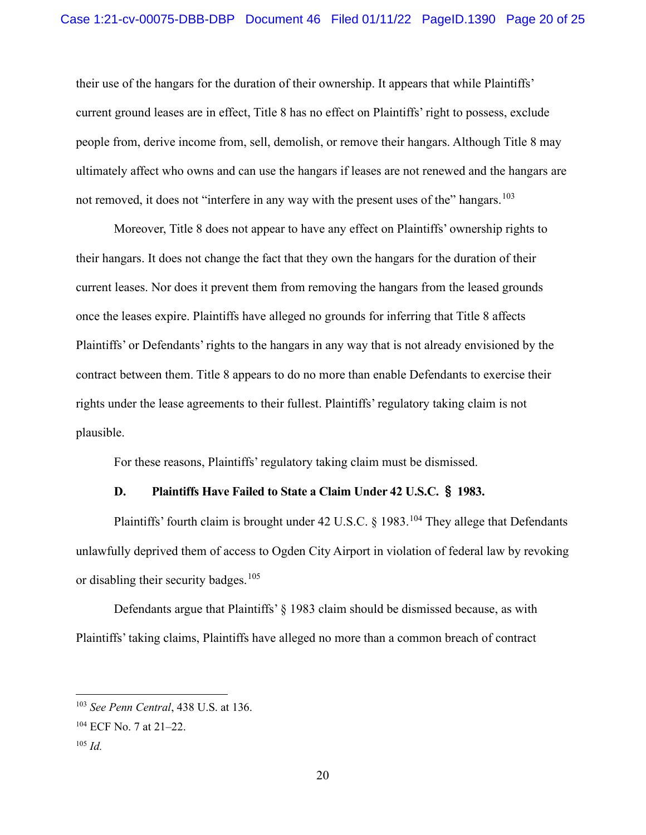their use of the hangars for the duration of their ownership. It appears that while Plaintiffs' current ground leases are in effect, Title 8 has no effect on Plaintiffs' right to possess, exclude people from, derive income from, sell, demolish, or remove their hangars. Although Title 8 may ultimately affect who owns and can use the hangars if leases are not renewed and the hangars are not removed, it does not "interfere in any way with the present uses of the" hangars.<sup>[103](#page-19-0)</sup>

Moreover, Title 8 does not appear to have any effect on Plaintiffs' ownership rights to their hangars. It does not change the fact that they own the hangars for the duration of their current leases. Nor does it prevent them from removing the hangars from the leased grounds once the leases expire. Plaintiffs have alleged no grounds for inferring that Title 8 affects Plaintiffs' or Defendants' rights to the hangars in any way that is not already envisioned by the contract between them. Title 8 appears to do no more than enable Defendants to exercise their rights under the lease agreements to their fullest. Plaintiffs' regulatory taking claim is not plausible.

For these reasons, Plaintiffs' regulatory taking claim must be dismissed.

# **D. Plaintiffs Have Failed to State a Claim Under 42 U.S.C.** § **1983.**

Plaintiffs' fourth claim is brought under 42 U.S.C. § 1983.<sup>[104](#page-19-1)</sup> They allege that Defendants unlawfully deprived them of access to Ogden City Airport in violation of federal law by revoking or disabling their security badges.<sup>[105](#page-19-2)</sup>

Defendants argue that Plaintiffs' § 1983 claim should be dismissed because, as with Plaintiffs' taking claims, Plaintiffs have alleged no more than a common breach of contract

<span id="page-19-0"></span><sup>103</sup> *See Penn Central*, 438 U.S. at 136.

<span id="page-19-1"></span> $104$  ECF No. 7 at 21–22.

<span id="page-19-2"></span><sup>105</sup> *Id.*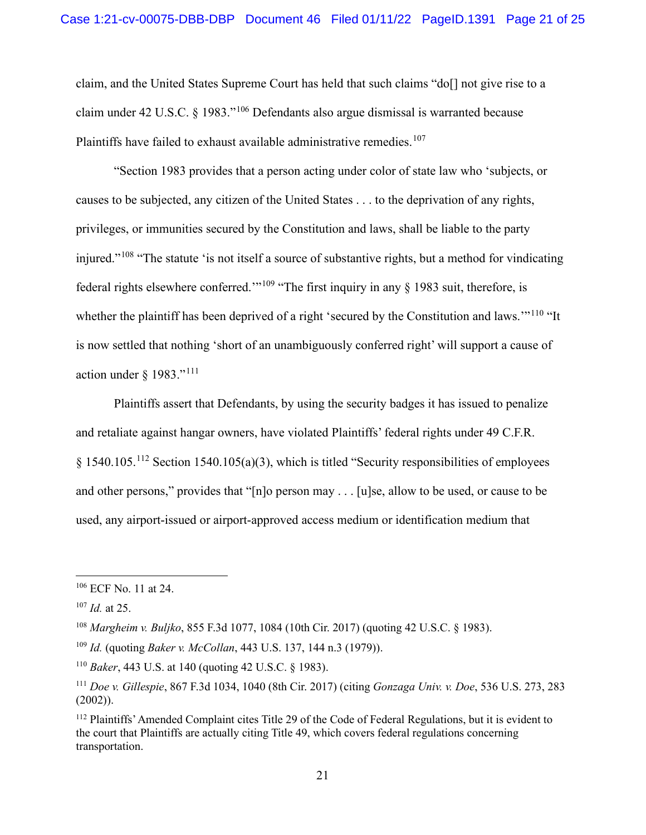claim, and the United States Supreme Court has held that such claims "do[] not give rise to a claim under 42 U.S.C. § 1983."[106](#page-20-0) Defendants also argue dismissal is warranted because Plaintiffs have failed to exhaust available administrative remedies.<sup>[107](#page-20-1)</sup>

"Section 1983 provides that a person acting under color of state law who 'subjects, or causes to be subjected, any citizen of the United States . . . to the deprivation of any rights, privileges, or immunities secured by the Constitution and laws, shall be liable to the party injured."[108](#page-20-2) "The statute 'is not itself a source of substantive rights, but a method for vindicating federal rights elsewhere conferred."<sup>[109](#page-20-3)</sup> "The first inquiry in any  $\S$  1983 suit, therefore, is whether the plaintiff has been deprived of a right 'secured by the Constitution and laws."<sup>[110](#page-20-4)</sup> "It is now settled that nothing 'short of an unambiguously conferred right' will support a cause of action under  $§$  1983."<sup>[111](#page-20-5)</sup>

Plaintiffs assert that Defendants, by using the security badges it has issued to penalize and retaliate against hangar owners, have violated Plaintiffs' federal rights under 49 C.F.R.  $§$  1540.105.<sup>[112](#page-20-6)</sup> Section 1540.105(a)(3), which is titled "Security responsibilities of employees and other persons," provides that "[n]o person may . . . [u]se, allow to be used, or cause to be used, any airport-issued or airport-approved access medium or identification medium that

<span id="page-20-0"></span><sup>106</sup> ECF No. 11 at 24.

<span id="page-20-1"></span><sup>107</sup> *Id.* at 25.

<span id="page-20-2"></span><sup>108</sup> *Margheim v. Buljko*, 855 F.3d 1077, 1084 (10th Cir. 2017) (quoting 42 U.S.C. § 1983).

<span id="page-20-3"></span><sup>109</sup> *Id.* (quoting *Baker v. McCollan*, 443 U.S. 137, 144 n.3 (1979)).

<span id="page-20-4"></span><sup>110</sup> *Baker*, 443 U.S. at 140 (quoting 42 U.S.C. § 1983).

<span id="page-20-5"></span><sup>111</sup> *Doe v. Gillespie*, 867 F.3d 1034, 1040 (8th Cir. 2017) (citing *Gonzaga Univ. v. Doe*, 536 U.S. 273, 283  $(2002)$ ).

<span id="page-20-6"></span><sup>112</sup> Plaintiffs' Amended Complaint cites Title 29 of the Code of Federal Regulations, but it is evident to the court that Plaintiffs are actually citing Title 49, which covers federal regulations concerning transportation.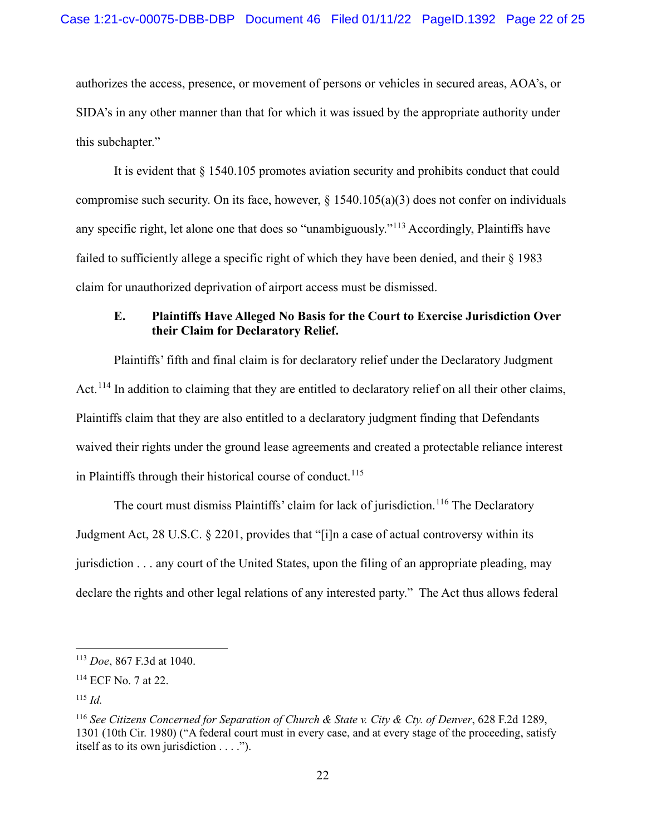authorizes the access, presence, or movement of persons or vehicles in secured areas, AOA's, or SIDA's in any other manner than that for which it was issued by the appropriate authority under this subchapter."

It is evident that § 1540.105 promotes aviation security and prohibits conduct that could compromise such security. On its face, however,  $\S$  1540.105(a)(3) does not confer on individuals any specific right, let alone one that does so "unambiguously."[113](#page-21-0) Accordingly, Plaintiffs have failed to sufficiently allege a specific right of which they have been denied, and their § 1983 claim for unauthorized deprivation of airport access must be dismissed.

# **E. Plaintiffs Have Alleged No Basis for the Court to Exercise Jurisdiction Over their Claim for Declaratory Relief.**

Plaintiffs' fifth and final claim is for declaratory relief under the Declaratory Judgment Act.<sup>[114](#page-21-1)</sup> In addition to claiming that they are entitled to declaratory relief on all their other claims, Plaintiffs claim that they are also entitled to a declaratory judgment finding that Defendants waived their rights under the ground lease agreements and created a protectable reliance interest in Plaintiffs through their historical course of conduct.<sup>[115](#page-21-2)</sup>

The court must dismiss Plaintiffs' claim for lack of jurisdiction.<sup>[116](#page-21-3)</sup> The Declaratory Judgment Act, 28 U.S.C. § 2201, provides that "[i]n a case of actual controversy within its jurisdiction . . . any court of the United States, upon the filing of an appropriate pleading, may declare the rights and other legal relations of any interested party." The Act thus allows federal

<span id="page-21-0"></span><sup>113</sup> *Doe*, 867 F.3d at 1040.

<span id="page-21-1"></span><sup>114</sup> ECF No. 7 at 22.

<span id="page-21-2"></span><sup>115</sup> *Id.*

<span id="page-21-3"></span><sup>116</sup> *See Citizens Concerned for Separation of Church & State v. City & Cty. of Denver*, 628 F.2d 1289, 1301 (10th Cir. 1980) ("A federal court must in every case, and at every stage of the proceeding, satisfy itself as to its own jurisdiction . . . .").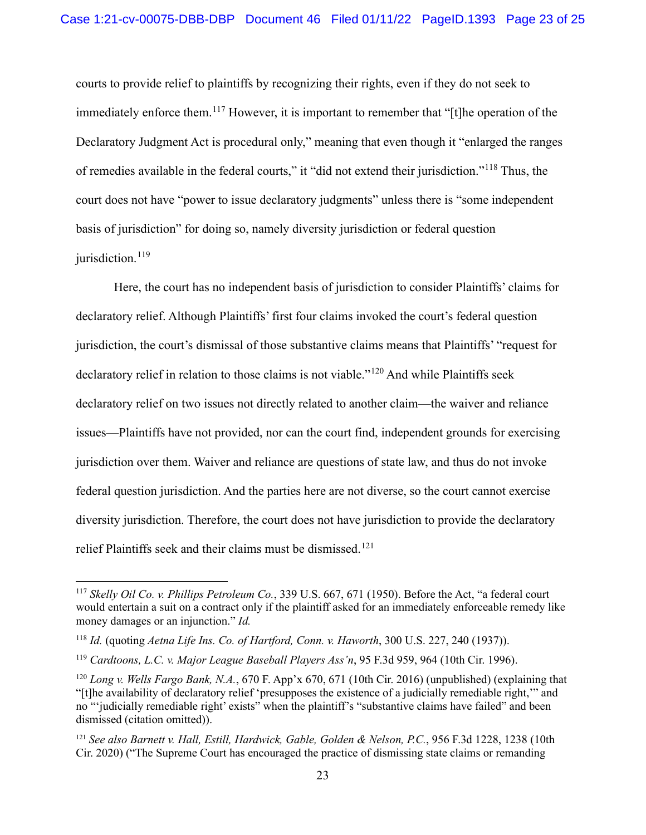courts to provide relief to plaintiffs by recognizing their rights, even if they do not seek to immediately enforce them.<sup>[117](#page-22-0)</sup> However, it is important to remember that "[t]he operation of the Declaratory Judgment Act is procedural only," meaning that even though it "enlarged the ranges of remedies available in the federal courts," it "did not extend their jurisdiction."[118](#page-22-1) Thus, the court does not have "power to issue declaratory judgments" unless there is "some independent basis of jurisdiction" for doing so, namely diversity jurisdiction or federal question jurisdiction.<sup>[119](#page-22-2)</sup>

Here, the court has no independent basis of jurisdiction to consider Plaintiffs' claims for declaratory relief. Although Plaintiffs' first four claims invoked the court's federal question jurisdiction, the court's dismissal of those substantive claims means that Plaintiffs' "request for declaratory relief in relation to those claims is not viable."<sup>[120](#page-22-3)</sup> And while Plaintiffs seek declaratory relief on two issues not directly related to another claim—the waiver and reliance issues—Plaintiffs have not provided, nor can the court find, independent grounds for exercising jurisdiction over them. Waiver and reliance are questions of state law, and thus do not invoke federal question jurisdiction. And the parties here are not diverse, so the court cannot exercise diversity jurisdiction. Therefore, the court does not have jurisdiction to provide the declaratory relief Plaintiffs seek and their claims must be dismissed. [121](#page-22-4)

<span id="page-22-0"></span><sup>117</sup> *Skelly Oil Co. v. Phillips Petroleum Co.*, 339 U.S. 667, 671 (1950). Before the Act, "a federal court would entertain a suit on a contract only if the plaintiff asked for an immediately enforceable remedy like money damages or an injunction." *Id.*

<span id="page-22-1"></span><sup>118</sup> *Id.* (quoting *Aetna Life Ins. Co. of Hartford, Conn. v. Haworth*, 300 U.S. 227, 240 (1937)).

<span id="page-22-2"></span><sup>119</sup> *Cardtoons, L.C. v. Major League Baseball Players Ass'n*, 95 F.3d 959, 964 (10th Cir. 1996).

<span id="page-22-3"></span><sup>120</sup> *Long v. Wells Fargo Bank, N.A.*, 670 F. App'x 670, 671 (10th Cir. 2016) (unpublished) (explaining that "[t]he availability of declaratory relief 'presupposes the existence of a judicially remediable right,'" and no "'judicially remediable right' exists" when the plaintiff's "substantive claims have failed" and been dismissed (citation omitted)).

<span id="page-22-4"></span><sup>121</sup> *See also Barnett v. Hall, Estill, Hardwick, Gable, Golden & Nelson, P.C.*, 956 F.3d 1228, 1238 (10th Cir. 2020) ("The Supreme Court has encouraged the practice of dismissing state claims or remanding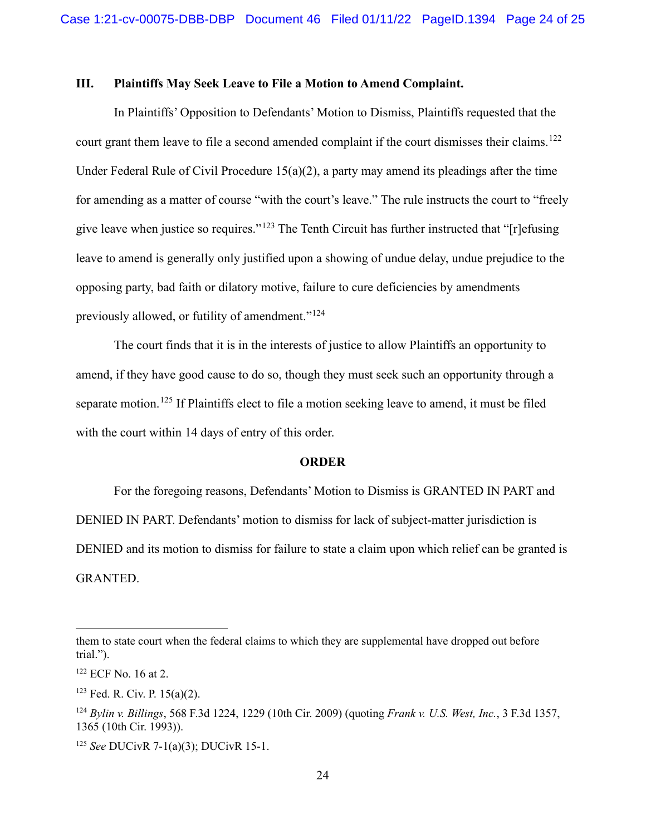#### **III. Plaintiffs May Seek Leave to File a Motion to Amend Complaint.**

In Plaintiffs' Opposition to Defendants' Motion to Dismiss, Plaintiffs requested that the court grant them leave to file a second amended complaint if the court dismisses their claims.<sup>122</sup> Under Federal Rule of Civil Procedure  $15(a)(2)$ , a party may amend its pleadings after the time for amending as a matter of course "with the court's leave." The rule instructs the court to "freely give leave when justice so requires."[123](#page-23-1) The Tenth Circuit has further instructed that "[r]efusing leave to amend is generally only justified upon a showing of undue delay, undue prejudice to the opposing party, bad faith or dilatory motive, failure to cure deficiencies by amendments previously allowed, or futility of amendment."<sup>[124](#page-23-2)</sup>

The court finds that it is in the interests of justice to allow Plaintiffs an opportunity to amend, if they have good cause to do so, though they must seek such an opportunity through a separate motion.<sup>[125](#page-23-3)</sup> If Plaintiffs elect to file a motion seeking leave to amend, it must be filed with the court within 14 days of entry of this order.

#### **ORDER**

For the foregoing reasons, Defendants' Motion to Dismiss is GRANTED IN PART and DENIED IN PART. Defendants' motion to dismiss for lack of subject-matter jurisdiction is DENIED and its motion to dismiss for failure to state a claim upon which relief can be granted is GRANTED.

them to state court when the federal claims to which they are supplemental have dropped out before trial.").

<span id="page-23-0"></span><sup>122</sup> ECF No. 16 at 2.

<span id="page-23-1"></span><sup>123</sup> Fed. R. Civ. P. 15(a)(2).

<span id="page-23-2"></span><sup>124</sup> *Bylin v. Billings*, 568 F.3d 1224, 1229 (10th Cir. 2009) (quoting *Frank v. U.S. West, Inc.*, 3 F.3d 1357, 1365 (10th Cir. 1993)).

<span id="page-23-3"></span><sup>125</sup> *See* DUCivR 7-1(a)(3); DUCivR 15-1.